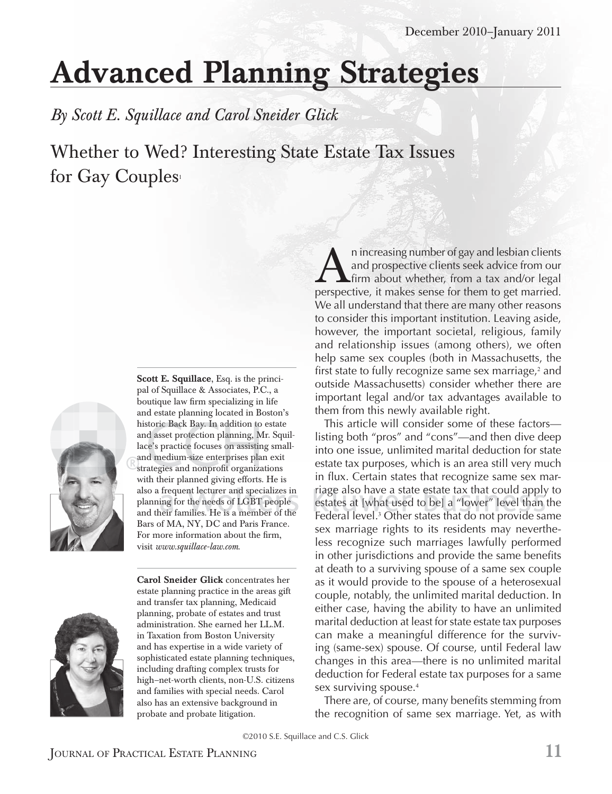## Advanced Planning Strategies

*By Scott E. Squillace and Carol Sneider Glick*

Whether to Wed? Interesting State Estate Tax Issues for Gay Couples



Scott E. Squillace, Esq. is the principal of Squillace & Associates, P.C., a boutique law firm specializing in life and estate planning located in Boston's historic Back Bay. In addition to estate and asset protection planning, Mr. Squillace's practice focuses on assisting smalland medium-size enterprises plan exit strategies and nonprofit organizations with their planned giving efforts. He is also a frequent lecturer and specializes in planning for the needs of  $_{\rm LGBT}$  people and their families. He is a member of the Bars of MA, NY, DC and Paris France. For more information about the firm, visit *www.squillace-law.com*.



Carol Sneider Glick concentrates her estate planning practice in the areas gift and transfer tax planning, Medicaid planning, probate of estates and trust administration. She earned her LL.M. in Taxation from Boston University and has expertise in a wide variety of sophisticated estate planning techniques, including drafting complex trusts for high–net-worth clients, non-U.S. citizens and families with special needs. Carol also has an extensive background in probate and probate litigation.

A in increasing number of gay and lesbian clients<br>and prospective clients seek advice from our<br>perspective, it makes sense for them to get married. n increasing number of gay and lesbian clients and prospective clients seek advice from our  $L$ firm about whether, from a tax and/or legal We all understand that there are many other reasons to consider this important institution. Leaving aside, however, the important societal, religious, family and relationship issues (among others), we often help same sex couples (both in Massachusetts, the first state to fully recognize same sex marriage,<sup>2</sup> and outside Massachusetts) consider whether there are important legal and/or tax advantages available to them from this newly available right.

This article will consider some of these factors listing both "pros" and "cons"—and then dive deep into one issue, unlimited marital deduction for state estate tax purposes, which is an area still very much in flux. Certain states that recognize same sex marriage also have a state estate tax that could apply to riage also have a state estate tax that could apply to<br>estates at [what used to be] a "lower" level than the Federal level.<sup>3</sup> Other states that do not provide same sex marriage rights to its residents may nevertheless recognize such marriages lawfully performed in other jurisdictions and provide the same benefits at death to a surviving spouse of a same sex couple as it would provide to the spouse of a heterosexual couple, notably, the unlimited marital deduction. In either case, having the ability to have an unlimited marital deduction at least for state estate tax purposes can make a meaningful difference for the surviving (same-sex) spouse. Of course, until Federal law changes in this area—there is no unlimited marital deduction for Federal estate tax purposes for a same sex surviving spouse.<sup>4</sup>

There are, of course, many benefits stemming from the recognition of same sex marriage. Yet, as with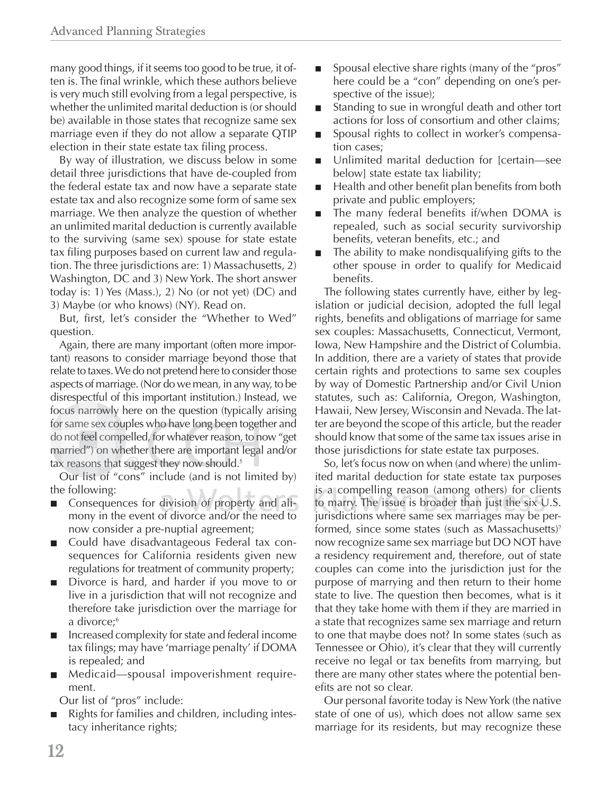many good things, if it seems too good to be true, it often is. The final wrinkle, which these authors believe is very much still evolving from a legal perspective, is whether the unlimited marital deduction is (or should be) available in those states that recognize same sex marriage even if they do not allow a separate QTIP election in their state estate tax filing process.

By way of illustration, we discuss below in some detail three jurisdictions that have de-coupled from the federal estate tax and now have a separate state estate tax and also recognize some form of same sex marriage. We then analyze the question of whether an unlimited marital deduction is currently available to the surviving (same sex) spouse for state estate tax filing purposes based on current law and regulation. The three jurisdictions are: 1) Massachusetts, 2) Washington, DC and 3) New York. The short answer today is: 1) Yes (Mass.), 2) No (or not yet) (DC) and 3) Maybe (or who knows) (NY). Read on.

But, first, let's consider the "Whether to Wed" question.

Again, there are many important (often more important) reasons to consider marriage beyond those that relate to taxes. We do not pretend here to consider those aspects of marriage. (Nor do we mean, in any way, to be disrespectful of this important institution.) Instead, we p focus narrowly here on the question (typically arising focus narrowly here on the question (typically arising<br>for same sex couples who have long been together and do not feel compelled, for whatever reason, to now "get married") on whether there are important legal and/or married") on whether there are important<br>tax reasons that suggest they now should.<sup>s</sup> cus narro<br>
x same sex<br>
x not feel d<br>
x reasons com ex couples who hav<br>compelled, for wha<br>on whether there ar<br>s that suggest they r , for whatever reason, to n

Our list of "cons" include (and is not limited by) the following:

- Consequences for division of property and alimony in the event of divorce and/or the need to f d h now consider a pre-nuptial agreement;
- Could have disadvantageous Federal tax con- $\blacksquare$ sequences for California residents given new regulations for treatment of community property;
- Divorce is hard, and harder if you move to or П live in a jurisdiction that will not recognize and therefore take jurisdiction over the marriage for a divorce;<sup>6</sup>
- Increased complexity for state and federal income  $\blacksquare$ tax filings; may have 'marriage penalty' if DOMA is repealed; and
- Medicaid—spousal impoverishment requirement.

Our list of "pros" include:

Rights for families and children, including intestacy inheritance rights;

- Spousal elective share rights (many of the "pros"  $\Box$ here could be a "con" depending on one's perspective of the issue);
- Standing to sue in wrongful death and other tort  $\Box$ actions for loss of consortium and other claims;
- Spousal rights to collect in worker's compensa-П tion cases;
- Unlimited marital deduction for [certain—see below] state estate tax liability;
- Health and other benefit plan benefits from both  $\Box$ private and public employers;
- The many federal benefits if/when DOMA is  $\blacksquare$ repealed, such as social security survivorship benefits, veteran benefits, etc.; and
- The ability to make nondisqualifying gifts to the  $\Box$ other spouse in order to qualify for Medicaid benefits.

The following states currently have, either by legislation or judicial decision, adopted the full legal rights, benefits and obligations of marriage for same sex couples: Massachusetts, Connecticut, Vermont, Iowa, New Hampshire and the District of Columbia. In addition, there are a variety of states that provide certain rights and protections to same sex couples by way of Domestic Partnership and/or Civil Union statutes, such as: California, Oregon, Washington, Hawaii, New Jersey, Wisconsin and Nevada. The latter are beyond the scope of this article, but the reader should know that some of the same tax issues arise in those jurisdictions for state estate tax purposes.

So, let's focus now on when (and where) the unlimited marital deduction for state estate tax purposes is a compelling reason (among others) for clients to marry. The issue is broader than just the six  $\cup$ .S. jurisdictions where same sex marriages may be performed, since some states (such as Massachusetts)<sup>7</sup> now recognize same sex marriage but DO NOT have a residency requirement and, therefore, out of state couples can come into the jurisdiction just for the purpose of marrying and then return to their home state to live. The question then becomes, what is it that they take home with them if they are married in a state that recognizes same sex marriage and return to one that maybe does not? In some states (such as Tennessee or Ohio), it's clear that they will currently receive no legal or tax benefits from marrying, but there are many other states where the potential benefits are not so clear.

Our personal favorite today is New York (the native state of one of us), which does not allow same sex marriage for its residents, but may recognize these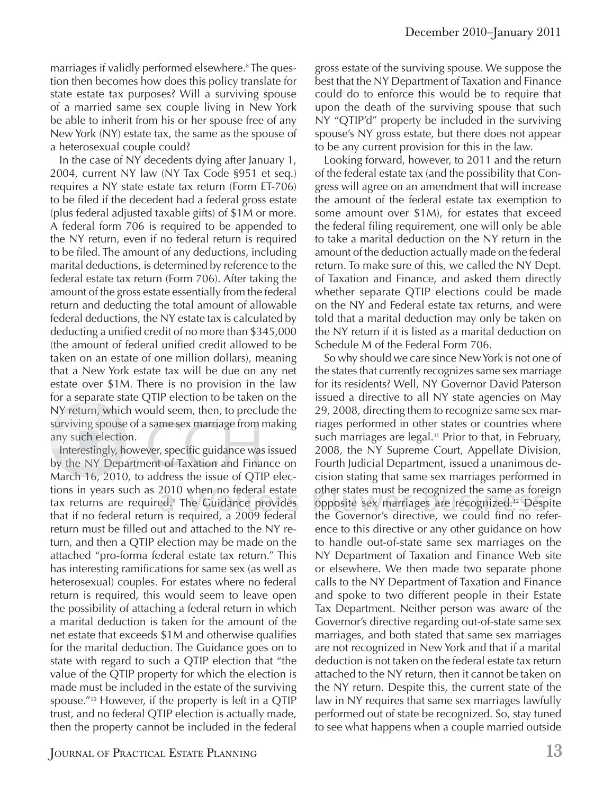marriages if validly performed elsewhere.<sup>8</sup> The question then becomes how does this policy translate for state estate tax purposes? Will a surviving spouse of a married same sex couple living in New York be able to inherit from his or her spouse free of any New York (NY) estate tax, the same as the spouse of a heterosexual couple could?

In the case of NY decedents dying after January 1, 2004, current NY law (NY Tax Code §951 et seq.) requires a NY state estate tax return (Form ET-706) to be filed if the decedent had a federal gross estate (plus federal adjusted taxable gifts) of \$1M or more. A federal form 706 is required to be appended to the NY return, even if no federal return is required to be filed. The amount of any deductions, including marital deductions, is determined by reference to the federal estate tax return (Form 706). After taking the amount of the gross estate essentially from the federal return and deducting the total amount of allowable federal deductions, the NY estate tax is calculated by deducting a unified credit of no more than \$345,000 (the amount of federal unified credit allowed to be taken on an estate of one million dollars), meaning that a New York estate tax will be due on any net estate over \$1M. There is no provision in the law for a separate state QTIP election to be taken on the p NY return, which would seem, then, to preclude the surviving spouse of a same sex marriage from making any such election. Y return,<br>urviving s<br>ny such e<br>Interestir<br>y the NY ing s eturn, wh<br>ving spou<br>uch elect<br>erestingly,<br>e NY De x marri ge from

Interestingly, however, specific guidance was issued by the NY Department of Taxation and Finance on March 16, 2010, to address the issue of QTIP elections in years such as 2010 when no federal estate tax returns are required.<sup>9</sup> The Guidance provides that if no federal return is required, a 2009 federal f return must be filled out and attached to the NY return, and then a QTIP election may be made on the attached "pro-forma federal estate tax return." This has interesting ramifications for same sex (as well as heterosexual) couples. For estates where no federal return is required, this would seem to leave open the possibility of attaching a federal return in which a marital deduction is taken for the amount of the net estate that exceeds  $$1M$  and otherwise qualifies for the marital deduction. The Guidance goes on to state with regard to such a QTIP election that "the value of the QTIP property for which the election is made must be included in the estate of the surviving spouse."<sup>10</sup> However, if the property is left in a QTIP trust, and no federal QTIP election is actually made, then the property cannot be included in the federal spouse of a same se<br>election.<br>ingly, however, spec<br>Y Department of Ta ver, specific guidance wa

gross estate of the surviving spouse. We suppose the best that the NY Department of Taxation and Finance could do to enforce this would be to require that upon the death of the surviving spouse that such NY "QTIP'd" property be included in the surviving spouse's NY gross estate, but there does not appear to be any current provision for this in the law.

Looking forward, however, to 2011 and the return of the federal estate tax (and the possibility that Congress will agree on an amendment that will increase the amount of the federal estate tax exemption to some amount over \$1M), for estates that exceed the federal filing requirement, one will only be able to take a marital deduction on the NY return in the amount of the deduction actually made on the federal return. To make sure of this, we called the NY Dept. of Taxation and Finance, and asked them directly whether separate QTIP elections could be made on the NY and Federal estate tax returns, and were told that a marital deduction may only be taken on the NY return if it is listed as a marital deduction on Schedule M of the Federal Form 706.

So why should we care since New York is not one of the states that currently recognizes same sex marriage for its residents? Well, NY Governor David Paterson issued a directive to all NY state agencies on May 29, 2008, directing them to recognize same sex marriages performed in other states or countries where such marriages are legal.<sup>11</sup> Prior to that, in February, 2008, the NY Supreme Court, Appellate Division, Fourth Judicial Department, issued a unanimous decision stating that same sex marriages performed in other states must be recognized the same as foreign opposite sex marriages are recognized.<sup>12</sup> Despite the Governor's directive, we could find no reference to this directive or any other guidance on how to handle out-of-state same sex marriages on the NY Department of Taxation and Finance Web site or elsewhere. We then made two separate phone calls to the NY Department of Taxation and Finance and spoke to two different people in their Estate Tax Department. Neither person was aware of the Governor's directive regarding out-of-state same sex marriages, and both stated that same sex marriages are not recognized in New York and that if a marital deduction is not taken on the federal estate tax return attached to the NY return, then it cannot be taken on the NY return. Despite this, the current state of the law in NY requires that same sex marriages lawfully performed out of state be recognized. So, stay tuned to see what happens when a couple married outside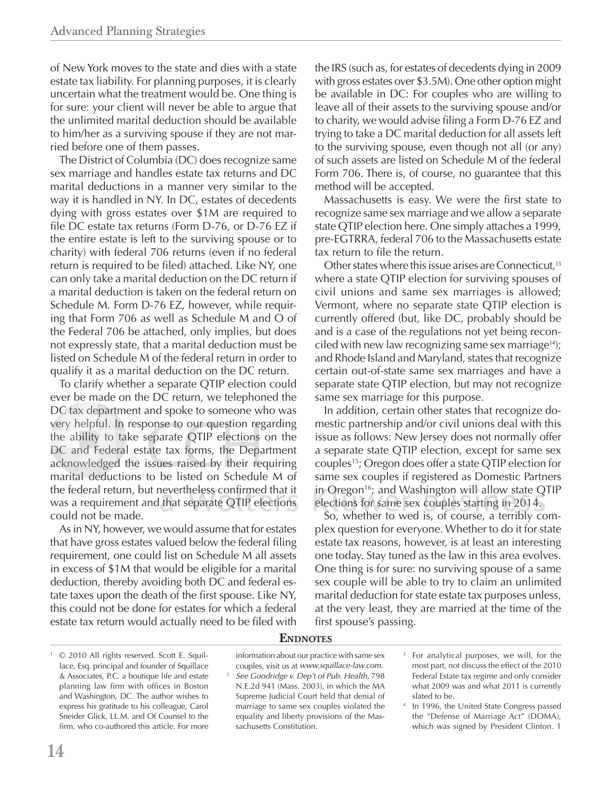of New York moves to the state and dies with a state estate tax liability. For planning purposes, it is clearly uncertain what the treatment would be. One thing is for sure: your client will never be able to argue that the unlimited marital deduction should be available to him/her as a surviving spouse if they are not married before one of them passes.

The District of Columbia (DC) does recognize same sex marriage and handles estate tax returns and DC marital deductions in a manner very similar to the way it is handled in NY. In DC, estates of decedents dying with gross estates over \$1M are required to file DC estate tax returns (Form D-76, or D-76 EZ if the entire estate is left to the surviving spouse or to charity) with federal 706 returns (even if no federal return is required to be filed) attached. Like NY, one can only take a marital deduction on the DC return if a marital deduction is taken on the federal return on Schedule M. Form D-76 EZ, however, while requiring that Form 706 as well as Schedule M and O of the Federal 706 be attached, only implies, but does not expressly state, that a marital deduction must be listed on Schedule M of the federal return in order to qualify it as a marital deduction on the DC return.

To clarify whether a separate QTIP election could ever be made on the DC return, we telephoned the DC tax department and spoke to someone who was DC tax department and spoke to someone who was<br>very helpful. In response to our question regarding the ability to take separate QTIP elections on the DC and Federal estate tax forms, the Department the ability to take separate QTIP elections on the<br>DC and Federal estate tax forms, the Department<br>acknowledged the issues raised by their requiring marital deductions to be listed on Schedule M of the federal return, but nevertheless confirmed that it the federal return, but nevertheless confirmed that it in O<br>was a requirement and that separate QTIP elections elect could not be made.

As in NY, however, we would assume that for estates that have gross estates valued below the federal filing requirement, one could list on Schedule M all assets in excess of \$1M that would be eligible for a marital deduction, thereby avoiding both DC and federal estate taxes upon the death of the first spouse. Like NY, this could not be done for estates for which a federal estate tax return would actually need to be filed with the IRS (such as, for estates of decedents dying in 2009 with gross estates over \$3.5M). One other option might be available in DC: For couples who are willing to leave all of their assets to the surviving spouse and/or to charity, we would advise filing a Form D-76 EZ and trying to take a DC marital deduction for all assets left to the surviving spouse, even though not all (or any) of such assets are listed on Schedule M of the federal Form 706. There is, of course, no guarantee that this method will be accepted.

Massachusetts is easy. We were the first state to recognize same sex marriage and we allow a separate state QTIP election here. One simply attaches a 1999, pre-EGTRRA, federal 706 to the Massachusetts estate tax return to file the return.

Other states where this issue arises are Connecticut,<sup>13</sup> where a state QTIP election for surviving spouses of civil unions and same sex marriages is allowed; Vermont, where no separate state QTIP election is currently offered (but, like DC, probably should be and is a case of the regulations not yet being reconciled with new law recognizing same sex marriage<sup>14</sup>); and Rhode Island and Maryland, states that recognize certain out-of-state same sex marriages and have a separate state QTIP election, but may not recognize same sex marriage for this purpose.

In addition, certain other states that recognize domestic partnership and/or civil unions deal with this issue as follows: New Jersey does not normally offer a separate state QTIP election, except for same sex couples<sup>15</sup>; Oregon does offer a state QTIP election for same sex couples if registered as Domestic Partners in Oregon<sup>16</sup>; and Washington will allow state QTIP elections for same sex couples starting in 2014. the issues raised by their requiring couples<sup>15</sup>; Oregon does offer a state QTIP elections to be listed on Schedule M of same sex couples if registered as Domestic Part n, but nevertheless confirmed that it in Oregon<sup>16</sup>;

So, whether to wed is, of course, a terribly com-f bl plex question for everyone. Whether to do it for state estate tax reasons, however, is at least an interesting one today. Stay tuned as the law in this area evolves. One thing is for sure: no surviving spouse of a same sex couple will be able to try to claim an unlimited marital deduction for state estate tax purposes unless, at the very least, they are married at the time of the first spouse's passing.

1 © 2010 All rights reserved. Scott E. Squillace, Esq. principal and founder of Squillace & Associates, P.C. a boutique life and estate planning law firm with offices in Boston and Washington, DC. The author wishes to express his gratitude to his colleague, Carol Sneider Glick, LL.M. and Of Counsel to the firm, who co-authored this article. For more

## **ENDNOTES**

- information about our practice with same sex couples, visit us at *www.squillace-law.com*. <sup>2</sup> *See Goodridge v. Dep't of Pub. Health*, 798 N.E.2d 941 (Mass. 2003), in which the MA Supreme Judicial Court held that denial of marriage to same sex couples violated the equality and liberty provisions of the Massachusetts Constitution.
- 3 For analytical purposes, we will, for the most part, not discuss the effect of the 2010 Federal Estate tax regime and only consider what 2009 was and what 2011 is currently slated to be.
- 4 In 1996, the United State Congress passed the "Defense of Marriage Act" (DOMA), which was signed by President Clinton. 1